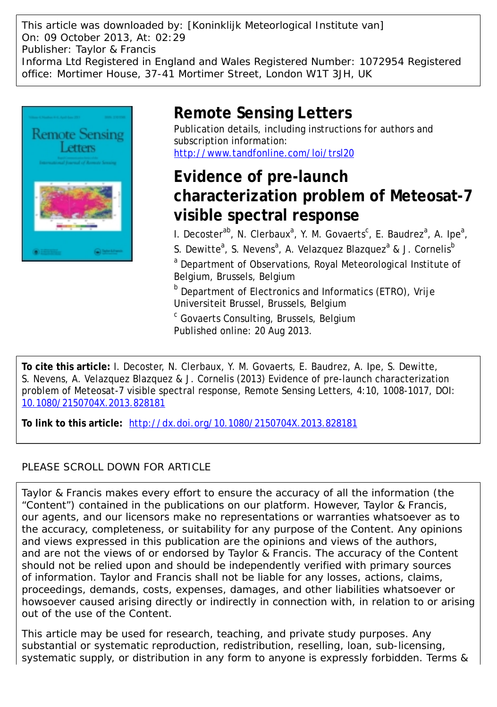This article was downloaded by: [Koninklijk Meteorlogical Institute van] On: 09 October 2013, At: 02:29 Publisher: Taylor & Francis Informa Ltd Registered in England and Wales Registered Number: 1072954 Registered office: Mortimer House, 37-41 Mortimer Street, London W1T 3JH, UK



# **Remote Sensing Letters**

Publication details, including instructions for authors and subscription information: <http://www.tandfonline.com/loi/trsl20>

# **Evidence of pre-launch characterization problem of Meteosat-7 visible spectral response**

I. Decoster<sup>ab</sup>, N. Clerbaux<sup>a</sup>, Y. M. Govaerts<sup>c</sup>, E. Baudrez<sup>a</sup>, A. Ipe<sup>a</sup>,

S. Dewitte<sup>a</sup>, S. Nevens<sup>a</sup>, A. Velazquez Blazquez<sup>a</sup> & J. Cornelis<sup>b</sup>

<sup>a</sup> Department of Observations, Royal Meteorological Institute of Belgium, Brussels, Belgium

**b** Department of Electronics and Informatics (ETRO), Vrije Universiteit Brussel, Brussels, Belgium

<sup>c</sup> Govaerts Consulting, Brussels, Belgium Published online: 20 Aug 2013.

**To cite this article:** I. Decoster, N. Clerbaux, Y. M. Govaerts, E. Baudrez, A. Ipe, S. Dewitte, S. Nevens, A. Velazquez Blazquez & J. Cornelis (2013) Evidence of pre-launch characterization problem of Meteosat-7 visible spectral response, Remote Sensing Letters, 4:10, 1008-1017, DOI: [10.1080/2150704X.2013.828181](http://www.tandfonline.com/action/showCitFormats?doi=10.1080/2150704X.2013.828181)

**To link to this article:** <http://dx.doi.org/10.1080/2150704X.2013.828181>

# PLEASE SCROLL DOWN FOR ARTICLE

Taylor & Francis makes every effort to ensure the accuracy of all the information (the "Content") contained in the publications on our platform. However, Taylor & Francis, our agents, and our licensors make no representations or warranties whatsoever as to the accuracy, completeness, or suitability for any purpose of the Content. Any opinions and views expressed in this publication are the opinions and views of the authors, and are not the views of or endorsed by Taylor & Francis. The accuracy of the Content should not be relied upon and should be independently verified with primary sources of information. Taylor and Francis shall not be liable for any losses, actions, claims, proceedings, demands, costs, expenses, damages, and other liabilities whatsoever or howsoever caused arising directly or indirectly in connection with, in relation to or arising out of the use of the Content.

This article may be used for research, teaching, and private study purposes. Any substantial or systematic reproduction, redistribution, reselling, loan, sub-licensing, systematic supply, or distribution in any form to anyone is expressly forbidden. Terms &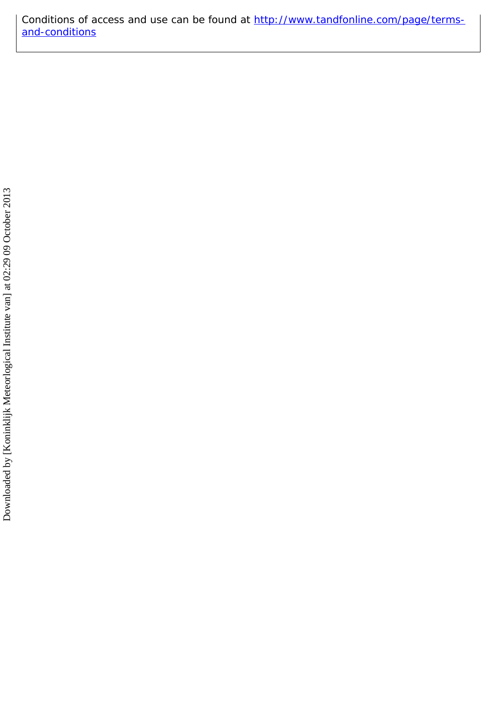Conditions of access and use can be found at [http://www.tandfonline.com/page/terms](http://www.tandfonline.com/page/terms-and-conditions)[and-conditions](http://www.tandfonline.com/page/terms-and-conditions)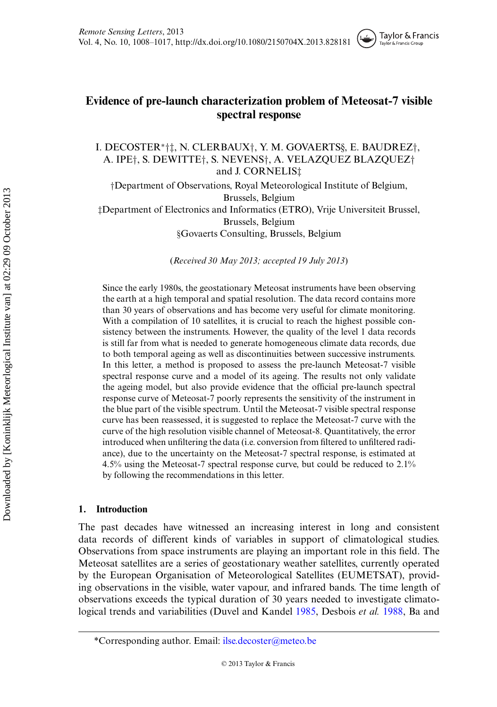## **Evidence of pre-launch characterization problem of Meteosat-7 visible spectral response**

Taylor & Francis Taylor & Francis Group

I. DECOSTER∗†‡, N. CLERBAUX†, Y. M. GOVAERTS§, E. BAUDREZ†, A. IPE†, S. DEWITTE†, S. NEVENS†, A. VELAZQUEZ BLAZQUEZ† and J. CORNELIS‡

†Department of Observations, Royal Meteorological Institute of Belgium, Brussels, Belgium ‡Department of Electronics and Informatics (ETRO), Vrije Universiteit Brussel, Brussels, Belgium §Govaerts Consulting, Brussels, Belgium

(*Received 30 May 2013; accepted 19 July 2013*)

Since the early 1980s, the geostationary Meteosat instruments have been observing the earth at a high temporal and spatial resolution. The data record contains more than 30 years of observations and has become very useful for climate monitoring. With a compilation of 10 satellites, it is crucial to reach the highest possible consistency between the instruments. However, the quality of the level 1 data records is still far from what is needed to generate homogeneous climate data records, due to both temporal ageing as well as discontinuities between successive instruments. In this letter, a method is proposed to assess the pre-launch Meteosat-7 visible spectral response curve and a model of its ageing. The results not only validate the ageing model, but also provide evidence that the official pre-launch spectral response curve of Meteosat-7 poorly represents the sensitivity of the instrument in the blue part of the visible spectrum. Until the Meteosat-7 visible spectral response curve has been reassessed, it is suggested to replace the Meteosat-7 curve with the curve of the high resolution visible channel of Meteosat-8. Quantitatively, the error introduced when unfiltering the data (i.e. conversion from filtered to unfiltered radiance), due to the uncertainty on the Meteosat-7 spectral response, is estimated at 4.5% using the Meteosat-7 spectral response curve, but could be reduced to 2.1% by following the recommendations in this letter.

## **1. Introduction**

The past decades have witnessed an increasing interest in long and consistent data records of different kinds of variables in support of climatological studies. Observations from space instruments are playing an important role in this field. The Meteosat satellites are a series of geostationary weather satellites, currently operated by the European Organisation of Meteorological Satellites (EUMETSAT), providing observations in the visible, water vapour, and infrared bands. The time length of observations exceeds the typical duration of 30 years needed to investigate climatological trends and variabilities (Duvel and Kandel [1985,](#page-10-0) Desbois *et al.* [1988,](#page-10-1) Ba and

<sup>\*</sup>Corresponding author. Email: [ilse.decoster@meteo.be](mailto:ilse.decoster@meteo.be)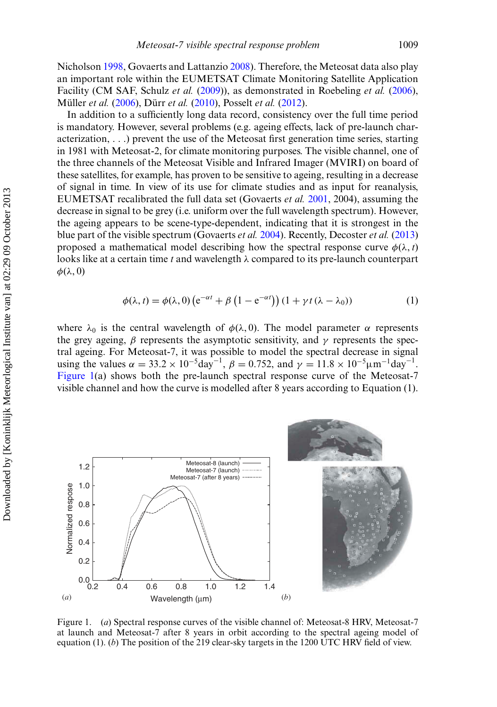Nicholson [1998,](#page-10-2) Govaerts and Lattanzio [2008\)](#page-11-0). Therefore, the Meteosat data also play an important role within the EUMETSAT Climate Monitoring Satellite Application Facility (CM SAF, Schulz *et al.* [\(2009\)](#page-11-1)), as demonstrated in Roebeling *et al.* [\(2006\)](#page-11-2), Müller *et al.* [\(2006\)](#page-11-3), Dürr *et al.* [\(2010\)](#page-10-3), Posselt *et al.* [\(2012\)](#page-11-4).

In addition to a sufficiently long data record, consistency over the full time period is mandatory. However, several problems (e.g. ageing effects, lack of pre-launch characterization, ...) prevent the use of the Meteosat first generation time series, starting in 1981 with Meteosat-2, for climate monitoring purposes. The visible channel, one of the three channels of the Meteosat Visible and Infrared Imager (MVIRI) on board of these satellites, for example, has proven to be sensitive to ageing, resulting in a decrease of signal in time. In view of its use for climate studies and as input for reanalysis, EUMETSAT recalibrated the full data set (Govaerts *et al.* [2001,](#page-10-4) 2004), assuming the decrease in signal to be grey (i.e. uniform over the full wavelength spectrum). However, the ageing appears to be scene-type-dependent, indicating that it is strongest in the blue part of the visible spectrum (Govaerts *et al.* [2004\)](#page-11-5). Recently, Decoster *et al.* [\(2013\)](#page-10-5) proposed a mathematical model describing how the spectral response curve  $\phi(\lambda, t)$ looks like at a certain time *t* and wavelength λ compared to its pre-launch counterpart  $\phi(\lambda, 0)$ 

$$
\phi(\lambda, t) = \phi(\lambda, 0) \left( e^{-\alpha t} + \beta \left( 1 - e^{-\alpha t} \right) \right) \left( 1 + \gamma t \left( \lambda - \lambda_0 \right) \right) \tag{1}
$$

where  $\lambda_0$  is the central wavelength of  $\phi(\lambda, 0)$ . The model parameter  $\alpha$  represents the grey ageing,  $\beta$  represents the asymptotic sensitivity, and  $\gamma$  represents the spectral ageing. For Meteosat-7, it was possible to model the spectral decrease in signal using the values  $\alpha = 33.2 \times 10^{-5} \text{day}^{-1}$ ,  $\beta = 0.752$ , and  $\gamma = 11.8 \times 10^{-5} \mu \text{m}^{-1} \text{day}^{-1}$ . [Figure 1\(](#page-3-0)a) shows both the pre-launch spectral response curve of the Meteosat-7 visible channel and how the curve is modelled after 8 years according to Equation (1).

<span id="page-3-0"></span>

Figure 1. (*a*) Spectral response curves of the visible channel of: Meteosat-8 HRV, Meteosat-7 at launch and Meteosat-7 after 8 years in orbit according to the spectral ageing model of equation (1). (*b*) The position of the 219 clear-sky targets in the 1200 UTC HRV field of view.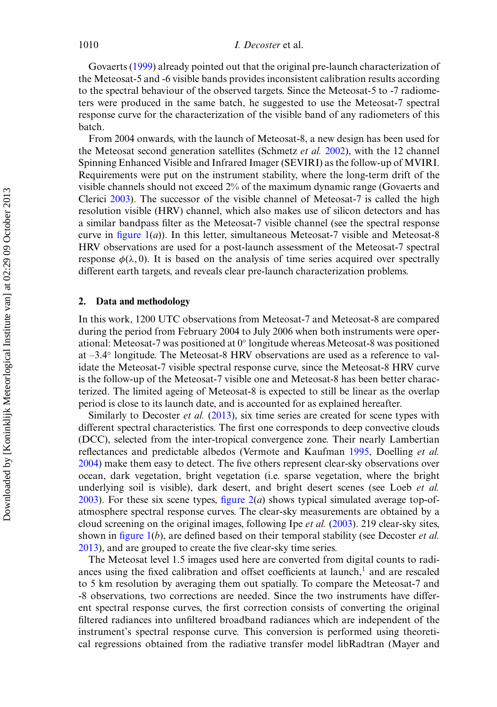Govaerts [\(1999\)](#page-10-6) already pointed out that the original pre-launch characterization of the Meteosat-5 and -6 visible bands provides inconsistent calibration results according to the spectral behaviour of the observed targets. Since the Meteosat-5 to -7 radiometers were produced in the same batch, he suggested to use the Meteosat-7 spectral response curve for the characterization of the visible band of any radiometers of this batch.

From 2004 onwards, with the launch of Meteosat-8, a new design has been used for the Meteosat second generation satellites (Schmetz *et al.* [2002\)](#page-11-6), with the 12 channel Spinning Enhanced Visible and Infrared Imager (SEVIRI) as the follow-up of MVIRI. Requirements were put on the instrument stability, where the long-term drift of the visible channels should not exceed 2% of the maximum dynamic range (Govaerts and Clerici [2003\)](#page-11-7). The successor of the visible channel of Meteosat-7 is called the high resolution visible (HRV) channel, which also makes use of silicon detectors and has a similar bandpass filter as the Meteosat-7 visible channel (see the spectral response curve in [figure 1\(](#page-3-0)*a*)). In this letter, simultaneous Meteosat-7 visible and Meteosat-8 HRV observations are used for a post-launch assessment of the Meteosat-7 spectral response  $\phi(\lambda, 0)$ . It is based on the analysis of time series acquired over spectrally different earth targets, and reveals clear pre-launch characterization problems.

#### **2. Data and methodology**

In this work, 1200 UTC observations from Meteosat-7 and Meteosat-8 are compared during the period from February 2004 to July 2006 when both instruments were operational: Meteosat-7 was positioned at 0◦ longitude whereas Meteosat-8 was positioned at –3.4◦ longitude. The Meteosat-8 HRV observations are used as a reference to validate the Meteosat-7 visible spectral response curve, since the Meteosat-8 HRV curve is the follow-up of the Meteosat-7 visible one and Meteosat-8 has been better characterized. The limited ageing of Meteosat-8 is expected to still be linear as the overlap period is close to its launch date, and is accounted for as explained hereafter.

Similarly to Decoster *et al.* [\(2013\)](#page-10-5), six time series are created for scene types with different spectral characteristics. The first one corresponds to deep convective clouds (DCC), selected from the inter-tropical convergence zone. Their nearly Lambertian reflectances and predictable albedos (Vermote and Kaufman [1995,](#page-11-8) Doelling *et al.* [2004\)](#page-10-7) make them easy to detect. The five others represent clear-sky observations over ocean, dark vegetation, bright vegetation (i.e. sparse vegetation, where the bright underlying soil is visible), dark desert, and bright desert scenes (see Loeb *et al.* [2003\)](#page-11-9). For these six scene types, [figure 2\(](#page-5-0)*a*) shows typical simulated average top-ofatmosphere spectral response curves. The clear-sky measurements are obtained by a cloud screening on the original images, following Ipe *et al.* [\(2003\)](#page-11-10). 219 clear-sky sites, shown in [figure 1\(](#page-3-0)*b*), are defined based on their temporal stability (see Decoster *et al.* [2013\)](#page-10-5), and are grouped to create the five clear-sky time series.

The Meteosat level 1.5 images used here are converted from digital counts to radiances using the fixed calibration and offset coefficients at launch, $<sup>1</sup>$  and are rescaled</sup> to 5 km resolution by averaging them out spatially. To compare the Meteosat-7 and -8 observations, two corrections are needed. Since the two instruments have different spectral response curves, the first correction consists of converting the original filtered radiances into unfiltered broadband radiances which are independent of the instrument's spectral response curve. This conversion is performed using theoretical regressions obtained from the radiative transfer model libRadtran (Mayer and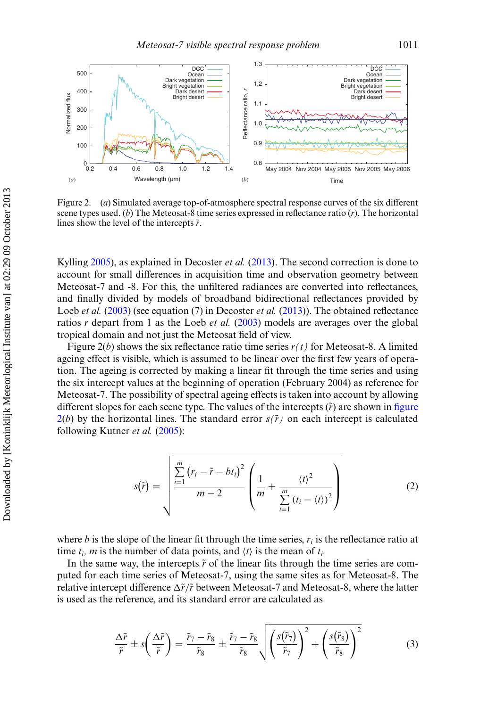<span id="page-5-0"></span>

Figure 2. (*a*) Simulated average top-of-atmosphere spectral response curves of the six different scene types used. (*b*) The Meteosat-8 time series expressed in reflectance ratio (*r*). The horizontal lines show the level of the intercepts  $\tilde{r}$ .

Kylling [2005\)](#page-11-11), as explained in Decoster *et al.* [\(2013\)](#page-10-5). The second correction is done to account for small differences in acquisition time and observation geometry between Meteosat-7 and -8. For this, the unfiltered radiances are converted into reflectances, and finally divided by models of broadband bidirectional reflectances provided by Loeb *et al.* [\(2003\)](#page-11-9) (see equation (7) in Decoster *et al.* [\(2013\)](#page-10-5)). The obtained reflectance ratios *r* depart from 1 as the Loeb *et al.* [\(2003\)](#page-11-9) models are averages over the global tropical domain and not just the Meteosat field of view.

Figure  $2(b)$  shows the six reflectance ratio time series  $r(t)$  for Meteosat-8. A limited ageing effect is visible, which is assumed to be linear over the first few years of operation. The ageing is corrected by making a linear fit through the time series and using the six intercept values at the beginning of operation (February 2004) as reference for Meteosat-7. The possibility of spectral ageing effects is taken into account by allowing different slopes for each scene type. The values of the intercepts  $(\tilde{r})$  are shown in figure  $2(b)$  by the horizontal lines. The standard error  $s(\tilde{r})$  on each intercept is calculated following Kutner *et al.* [\(2005\)](#page-11-12):

$$
s(\tilde{r}) = \sqrt{\frac{\sum\limits_{i=1}^{m} (r_i - \tilde{r} - bt_i)^2}{m - 2} \left( \frac{1}{m} + \frac{\langle t \rangle^2}{\sum\limits_{i=1}^{m} (t_i - \langle t \rangle)^2} \right)}
$$
(2)

where *b* is the slope of the linear fit through the time series,  $r_i$  is the reflectance ratio at time  $t_i$ , *m* is the number of data points, and  $\langle t \rangle$  is the mean of  $t_i$ .

In the same way, the intercepts  $\tilde{r}$  of the linear fits through the time series are computed for each time series of Meteosat-7, using the same sites as for Meteosat-8. The relative intercept difference  $\Delta \tilde{r}/\tilde{r}$  between Meteosat-7 and Meteosat-8, where the latter is used as the reference, and its standard error are calculated as

$$
\frac{\Delta \tilde{r}}{\tilde{r}} \pm s \left( \frac{\Delta \tilde{r}}{\tilde{r}} \right) = \frac{\tilde{r}_7 - \tilde{r}_8}{\tilde{r}_8} \pm \frac{\tilde{r}_7 - \tilde{r}_8}{\tilde{r}_8} \sqrt{\left( \frac{s(\tilde{r}_7)}{\tilde{r}_7} \right)^2 + \left( \frac{s(\tilde{r}_8)}{\tilde{r}_8} \right)^2} \tag{3}
$$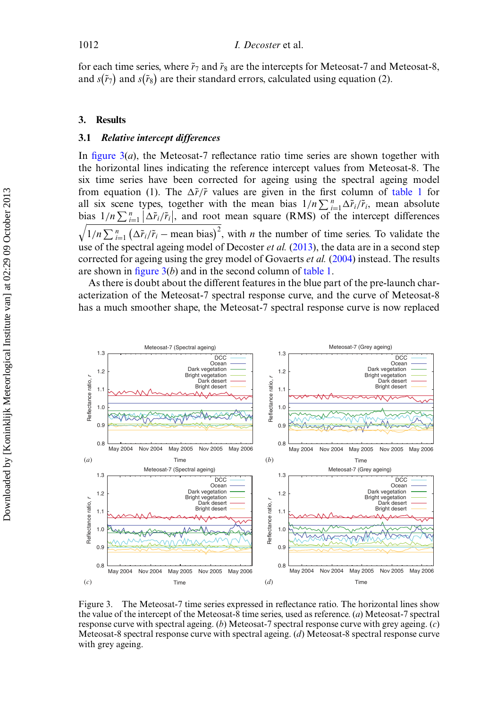for each time series, where  $\tilde{r}_7$  and  $\tilde{r}_8$  are the intercepts for Meteosat-7 and Meteosat-8, and  $s(\tilde{r}_7)$  and  $s(\tilde{r}_8)$  are their standard errors, calculated using equation (2).

#### **3. Results**

### **3.1** *Relative intercept differences*

In [figure 3\(](#page-6-0)*a*), the Meteosat-7 reflectance ratio time series are shown together with the horizontal lines indicating the reference intercept values from Meteosat-8. The six time series have been corrected for ageing using the spectral ageing model from equation (1). The  $\Delta \tilde{r}/\tilde{r}$  values are given in the first column of [table 1](#page-7-0) for all six scene types, together with the mean bias  $1/n \sum_{i=1}^{n} \Delta \tilde{r}_i / \tilde{r}_i$ , mean absolute bias  $1/n \sum_{i=1}^n |\Delta \tilde{r}_i/\tilde{r}_i|$ , and root mean square (RMS) of the intercept differences  $\sqrt{1/n \sum_{i=1}^{n} (\Delta \tilde{r}_i/\tilde{r}_i - \text{mean bias})^2}$ , with *n* the number of time series. To validate the use of the spectral ageing model of Decoster *et al.* [\(2013\)](#page-10-5), the data are in a second step corrected for ageing using the grey model of Govaerts *et al.* [\(2004\)](#page-11-5) instead. The results are shown in [figure 3\(](#page-6-0)*b*) and in the second column of [table 1.](#page-7-0)

As there is doubt about the different features in the blue part of the pre-launch characterization of the Meteosat-7 spectral response curve, and the curve of Meteosat-8 has a much smoother shape, the Meteosat-7 spectral response curve is now replaced

<span id="page-6-0"></span>

Figure 3. The Meteosat-7 time series expressed in reflectance ratio. The horizontal lines show the value of the intercept of the Meteosat-8 time series, used as reference. (*a*) Meteosat-7 spectral response curve with spectral ageing. (*b*) Meteosat-7 spectral response curve with grey ageing. (*c*) Meteosat-8 spectral response curve with spectral ageing. (*d*) Meteosat-8 spectral response curve with grey ageing.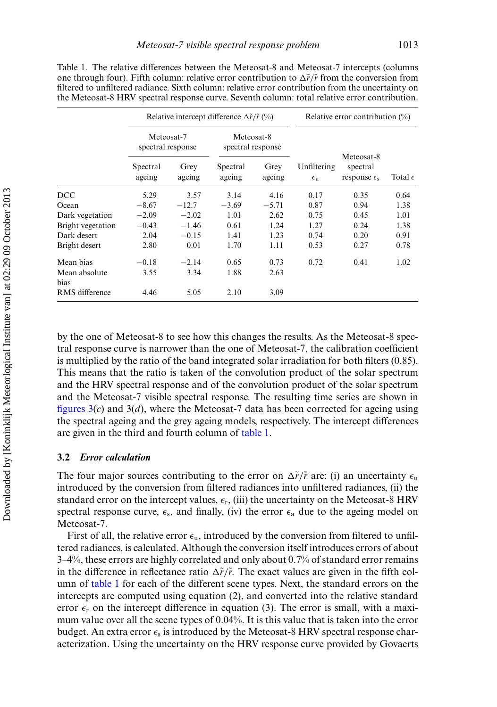<span id="page-7-0"></span>

|                       | Relative intercept difference $\Delta \tilde{r}/\tilde{r}$ (%) |                |                                 |                | Relative error contribution $(\%)$ |                                                   |                  |
|-----------------------|----------------------------------------------------------------|----------------|---------------------------------|----------------|------------------------------------|---------------------------------------------------|------------------|
|                       | Meteosat-7<br>spectral response                                |                | Meteosat-8<br>spectral response |                |                                    |                                                   |                  |
|                       | Spectral<br>ageing                                             | Grey<br>ageing | Spectral<br>ageing              | Grey<br>ageing | Unfiltering<br>$\epsilon_{\rm u}$  | Meteosat-8<br>spectral<br>response $\epsilon_{s}$ | Total $\epsilon$ |
| <b>DCC</b>            | 5.29                                                           | 3.57           | 3.14                            | 4.16           | 0.17                               | 0.35                                              | 0.64             |
| Ocean                 | $-8.67$                                                        | $-12.7$        | $-3.69$                         | $-5.71$        | 0.87                               | 0.94                                              | 1.38             |
| Dark vegetation       | $-2.09$                                                        | $-2.02$        | 1.01                            | 2.62           | 0.75                               | 0.45                                              | 1.01             |
| Bright vegetation     | $-0.43$                                                        | $-1.46$        | 0.61                            | 1.24           | 1.27                               | 0.24                                              | 1.38             |
| Dark desert           | 2.04                                                           | $-0.15$        | 1.41                            | 1.23           | 0.74                               | 0.20                                              | 0.91             |
| Bright desert         | 2.80                                                           | 0.01           | 1.70                            | 1.11           | 0.53                               | 0.27                                              | 0.78             |
| Mean bias             | $-0.18$                                                        | $-2.14$        | 0.65                            | 0.73           | 0.72                               | 0.41                                              | 1.02             |
| Mean absolute<br>bias | 3.55                                                           | 3.34           | 1.88                            | 2.63           |                                    |                                                   |                  |
| RMS difference        | 4.46                                                           | 5.05           | 2.10                            | 3.09           |                                    |                                                   |                  |

Table 1. The relative differences between the Meteosat-8 and Meteosat-7 intercepts (columns one through four). Fifth column: relative error contribution to  $\Delta \tilde{r}/\tilde{r}$  from the conversion from filtered to unfiltered radiance. Sixth column: relative error contribution from the uncertainty on the Meteosat-8 HRV spectral response curve. Seventh column: total relative error contribution.

by the one of Meteosat-8 to see how this changes the results. As the Meteosat-8 spectral response curve is narrower than the one of Meteosat-7, the calibration coefficient is multiplied by the ratio of the band integrated solar irradiation for both filters (0.85). This means that the ratio is taken of the convolution product of the solar spectrum and the HRV spectral response and of the convolution product of the solar spectrum and the Meteosat-7 visible spectral response. The resulting time series are shown in figures  $3(c)$  and  $3(d)$ , where the Meteosat-7 data has been corrected for ageing using the spectral ageing and the grey ageing models, respectively. The intercept differences are given in the third and fourth column of [table 1.](#page-7-0)

### **3.2** *Error calculation*

The four major sources contributing to the error on  $\Delta \tilde{r}/\tilde{r}$  are: (i) an uncertainty  $\epsilon_{\rm u}$ introduced by the conversion from filtered radiances into unfiltered radiances, (ii) the standard error on the intercept values,  $\epsilon_r$ , (iii) the uncertainty on the Meteosat-8 HRV spectral response curve,  $\epsilon_s$ , and finally, (iv) the error  $\epsilon_a$  due to the ageing model on Meteosat-7.

First of all, the relative error  $\epsilon_{\rm u}$ , introduced by the conversion from filtered to unfiltered radiances, is calculated. Although the conversion itself introduces errors of about 3–4%, these errors are highly correlated and only about 0.7% of standard error remains in the difference in reflectance ratio  $\Delta \tilde{r}/\tilde{r}$ . The exact values are given in the fifth column of [table 1](#page-7-0) for each of the different scene types. Next, the standard errors on the intercepts are computed using equation (2), and converted into the relative standard error  $\epsilon_r$  on the intercept difference in equation (3). The error is small, with a maximum value over all the scene types of 0.04%. It is this value that is taken into the error budget. An extra error  $\epsilon_s$  is introduced by the Meteosat-8 HRV spectral response characterization. Using the uncertainty on the HRV response curve provided by Govaerts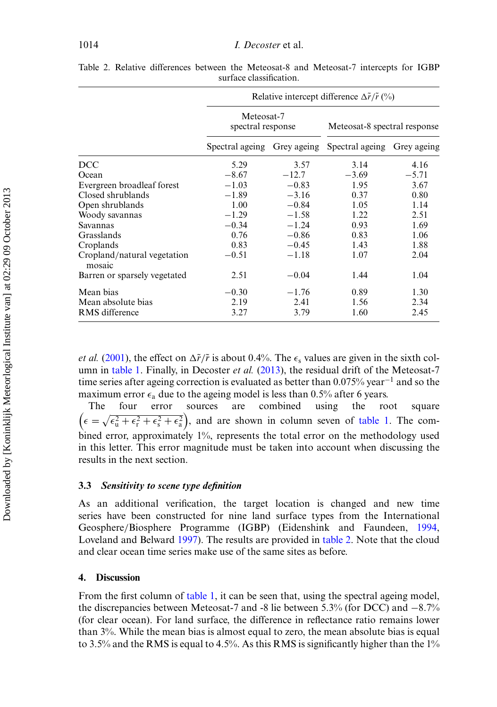|                                       | Relative intercept difference $\Delta \tilde{r}/\tilde{r}$ (%) |         |                              |             |  |  |
|---------------------------------------|----------------------------------------------------------------|---------|------------------------------|-------------|--|--|
|                                       | Meteosat-7<br>spectral response                                |         | Meteosat-8 spectral response |             |  |  |
|                                       | Spectral ageing Grey ageing                                    |         | Spectral ageing              | Grey ageing |  |  |
| DCC                                   | 5.29                                                           | 3.57    | 3.14                         | 4.16        |  |  |
| Ocean                                 | $-8.67$                                                        | $-12.7$ | $-3.69$                      | $-5.71$     |  |  |
| Evergreen broadleaf forest            | $-1.03$                                                        | $-0.83$ | 1.95                         | 3.67        |  |  |
| Closed shrublands                     | $-1.89$                                                        | $-3.16$ | 0.37                         | 0.80        |  |  |
| Open shrublands                       | 1.00                                                           | $-0.84$ | 1.05                         | 1.14        |  |  |
| Woody savannas                        | $-1.29$                                                        | $-1.58$ | 1.22                         | 2.51        |  |  |
| Savannas                              | $-0.34$                                                        | $-1.24$ | 0.93                         | 1.69        |  |  |
| Grasslands                            | 0.76                                                           | $-0.86$ | 0.83                         | 1.06        |  |  |
| Croplands                             | 0.83                                                           | $-0.45$ | 1.43                         | 1.88        |  |  |
| Cropland/natural vegetation<br>mosaic | $-0.51$                                                        | $-1.18$ | 1.07                         | 2.04        |  |  |
| Barren or sparsely vegetated          | 2.51                                                           | $-0.04$ | 1.44                         | 1.04        |  |  |
| Mean bias                             | $-0.30$                                                        | $-1.76$ | 0.89                         | 1.30        |  |  |
| Mean absolute bias                    | 2.19                                                           | 2.41    | 1.56                         | 2.34        |  |  |
| RMS difference                        | 3.27                                                           | 3.79    | 1.60                         | 2.45        |  |  |

<span id="page-8-0"></span>Table 2. Relative differences between the Meteosat-8 and Meteosat-7 intercepts for IGBP surface classification.

*et al.* [\(2001\)](#page-10-4), the effect on  $\Delta \tilde{r}/\tilde{r}$  is about 0.4%. The  $\epsilon_s$  values are given in the sixth column in [table 1.](#page-7-0) Finally, in Decoster *et al.* [\(2013\)](#page-10-5), the residual drift of the Meteosat-7 time series after ageing correction is evaluated as better than 0.075% year<sup>-1</sup> and so the maximum error  $\epsilon_a$  due to the ageing model is less than 0.5% after 6 years.

The four error sources are combined using the root square  $\left(\epsilon = \sqrt{\epsilon_u^2 + \epsilon_r^2 + \epsilon_s^2 + \epsilon_a^2}\right)$ , and are shown in column seven of [table 1.](#page-7-0) The combined error, approximately 1%, represents the total error on the methodology used in this letter. This error magnitude must be taken into account when discussing the results in the next section.

#### **3.3** *Sensitivity to scene type definition*

As an additional verification, the target location is changed and new time series have been constructed for nine land surface types from the International Geosphere/Biosphere Programme (IGBP) (Eidenshink and Faundeen, [1994,](#page-10-9) Loveland and Belward [1997\)](#page-11-13). The results are provided in [table 2.](#page-8-0) Note that the cloud and clear ocean time series make use of the same sites as before.

#### **4. Discussion**

From the first column of [table 1,](#page-7-0) it can be seen that, using the spectral ageing model, the discrepancies between Meteosat-7 and -8 lie between 5.3% (for DCC) and −8.7% (for clear ocean). For land surface, the difference in reflectance ratio remains lower than 3%. While the mean bias is almost equal to zero, the mean absolute bias is equal to 3.5% and the RMS is equal to 4.5%. As this RMS is significantly higher than the 1%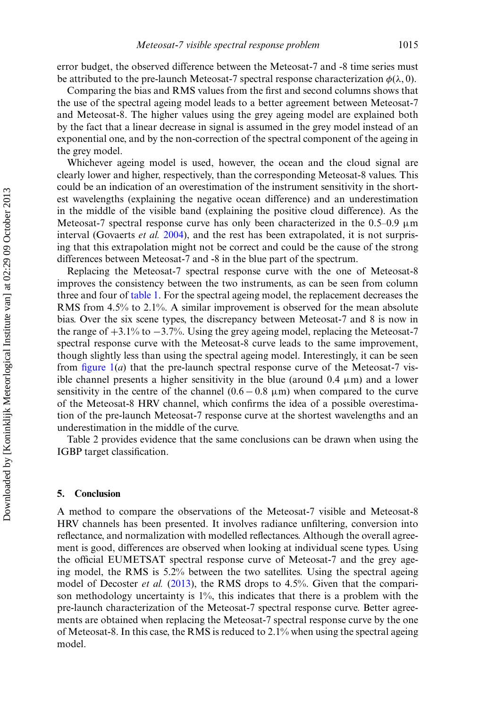error budget, the observed difference between the Meteosat-7 and -8 time series must be attributed to the pre-launch Meteosat-7 spectral response characterization  $\phi(\lambda, 0)$ .

Comparing the bias and RMS values from the first and second columns shows that the use of the spectral ageing model leads to a better agreement between Meteosat-7 and Meteosat-8. The higher values using the grey ageing model are explained both by the fact that a linear decrease in signal is assumed in the grey model instead of an exponential one, and by the non-correction of the spectral component of the ageing in the grey model.

Whichever ageing model is used, however, the ocean and the cloud signal are clearly lower and higher, respectively, than the corresponding Meteosat-8 values. This could be an indication of an overestimation of the instrument sensitivity in the shortest wavelengths (explaining the negative ocean difference) and an underestimation in the middle of the visible band (explaining the positive cloud difference). As the Meteosat-7 spectral response curve has only been characterized in the  $0.5-0.9 \mu m$ interval (Govaerts *et al.* [2004\)](#page-11-5), and the rest has been extrapolated, it is not surprising that this extrapolation might not be correct and could be the cause of the strong differences between Meteosat-7 and -8 in the blue part of the spectrum.

Replacing the Meteosat-7 spectral response curve with the one of Meteosat-8 improves the consistency between the two instruments, as can be seen from column three and four of [table 1.](#page-7-0) For the spectral ageing model, the replacement decreases the RMS from 4.5% to 2.1%. A similar improvement is observed for the mean absolute bias. Over the six scene types, the discrepancy between Meteosat-7 and 8 is now in the range of +3.1% to −3.7%. Using the grey ageing model, replacing the Meteosat-7 spectral response curve with the Meteosat-8 curve leads to the same improvement, though slightly less than using the spectral ageing model. Interestingly, it can be seen from figure  $1(a)$  that the pre-launch spectral response curve of the Meteosat-7 visible channel presents a higher sensitivity in the blue (around  $0.4 \mu m$ ) and a lower sensitivity in the centre of the channel  $(0.6 - 0.8 \mu m)$  when compared to the curve of the Meteosat-8 HRV channel, which confirms the idea of a possible overestimation of the pre-launch Meteosat-7 response curve at the shortest wavelengths and an underestimation in the middle of the curve.

Table 2 provides evidence that the same conclusions can be drawn when using the IGBP target classification.

#### **5. Conclusion**

A method to compare the observations of the Meteosat-7 visible and Meteosat-8 HRV channels has been presented. It involves radiance unfiltering, conversion into reflectance, and normalization with modelled reflectances. Although the overall agreement is good, differences are observed when looking at individual scene types. Using the official EUMETSAT spectral response curve of Meteosat-7 and the grey ageing model, the RMS is 5.2% between the two satellites. Using the spectral ageing model of Decoster *et al.* [\(2013\)](#page-10-5), the RMS drops to 4.5%. Given that the comparison methodology uncertainty is 1%, this indicates that there is a problem with the pre-launch characterization of the Meteosat-7 spectral response curve. Better agreements are obtained when replacing the Meteosat-7 spectral response curve by the one of Meteosat-8. In this case, the RMS is reduced to  $2.1\%$  when using the spectral ageing model.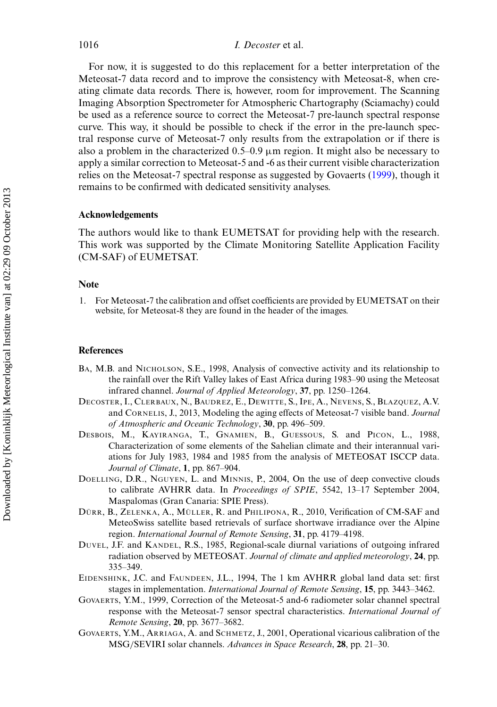For now, it is suggested to do this replacement for a better interpretation of the Meteosat-7 data record and to improve the consistency with Meteosat-8, when creating climate data records. There is, however, room for improvement. The Scanning Imaging Absorption Spectrometer for Atmospheric Chartography (Sciamachy) could be used as a reference source to correct the Meteosat-7 pre-launch spectral response curve. This way, it should be possible to check if the error in the pre-launch spectral response curve of Meteosat-7 only results from the extrapolation or if there is also a problem in the characterized  $0.5-0.9 \mu$ m region. It might also be necessary to apply a similar correction to Meteosat-5 and -6 as their current visible characterization relies on the Meteosat-7 spectral response as suggested by Govaerts [\(1999\)](#page-10-6), though it remains to be confirmed with dedicated sensitivity analyses.

## **Acknowledgements**

The authors would like to thank EUMETSAT for providing help with the research. This work was supported by the Climate Monitoring Satellite Application Facility (CM-SAF) of EUMETSAT.

#### **Note**

<span id="page-10-8"></span>1. For Meteosat-7 the calibration and offset coefficients are provided by EUMETSAT on their website, for Meteosat-8 they are found in the header of the images.

#### **References**

- <span id="page-10-2"></span>BA, M.B. and NICHOLSON, S.E., 1998, Analysis of convective activity and its relationship to the rainfall over the Rift Valley lakes of East Africa during 1983–90 using the Meteosat infrared channel. *Journal of Applied Meteorology*, **37**, pp. 1250–1264.
- <span id="page-10-5"></span>DECOSTER, I., CLERBAUX, N., BAUDREZ, E., DEWITTE, S., IPE, A., NEVENS, S., BLAZQUEZ, A.V. and CORNELIS, J., 2013, Modeling the aging effects of Meteosat-7 visible band. *Journal of Atmospheric and Oceanic Technology*, **30**, pp. 496–509.
- <span id="page-10-1"></span>DESBOIS, M., KAYIRANGA, T., GNAMIEN, B., GUESSOUS, S. and PICON, L., 1988, Characterization of some elements of the Sahelian climate and their interannual variations for July 1983, 1984 and 1985 from the analysis of METEOSAT ISCCP data. *Journal of Climate*, **1**, pp. 867–904.
- <span id="page-10-7"></span>DOELLING, D.R., NGUYEN, L. and MINNIS, P., 2004, On the use of deep convective clouds to calibrate AVHRR data. In *Proceedings of SPIE*, 5542, 13–17 September 2004, Maspalomas (Gran Canaria: SPIE Press).
- <span id="page-10-3"></span>DÜRR, B., ZELENKA, A., MÜLLER, R. and PHILIPONA, R., 2010, Verification of CM-SAF and MeteoSwiss satellite based retrievals of surface shortwave irradiance over the Alpine region. *International Journal of Remote Sensing*, **31**, pp. 4179–4198.
- <span id="page-10-0"></span>DUVEL, J.F. and KANDEL, R.S., 1985, Regional-scale diurnal variations of outgoing infrared radiation observed by METEOSAT. *Journal of climate and applied meteorology*, **24**, pp. 335–349.
- <span id="page-10-9"></span>EIDENSHINK, J.C. and FAUNDEEN, J.L., 1994, The 1 km AVHRR global land data set: first stages in implementation. *International Journal of Remote Sensing*, **15**, pp. 3443–3462.
- <span id="page-10-6"></span>GOVAERTS, Y.M., 1999, Correction of the Meteosat-5 and-6 radiometer solar channel spectral response with the Meteosat-7 sensor spectral characteristics. *International Journal of Remote Sensing*, **20**, pp. 3677–3682.
- <span id="page-10-4"></span>GOVAERTS, Y.M., ARRIAGA, A. and SCHMETZ, J., 2001, Operational vicarious calibration of the MSG/SEVIRI solar channels. *Advances in Space Research*, **28**, pp. 21–30.